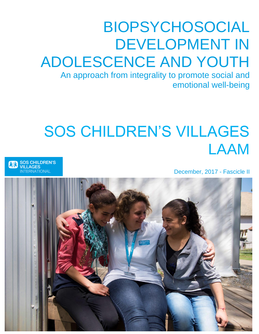# BIOPSYCHOSOCIAL DEVELOPMENT IN ADOLESCENCE AND YOUTH

An approach from integrality to promote social and emotional well-being

# SOS CHILDREN'S VILLAGES LAAM

December, 2017 - Fascicle II

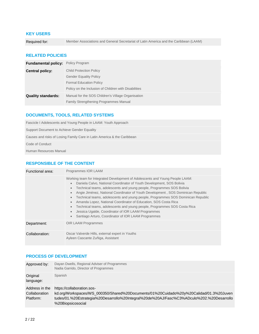#### **KEY USERS**

Required for: Member Associations and General Secretariat of Latin America and the Caribbean (LAAM)

#### **RELATED POLICIES**

| <b>Fundamental policy:</b> Policy Program         |                                                       |
|---------------------------------------------------|-------------------------------------------------------|
| <b>Child Protection Policy</b><br>Central policy: |                                                       |
|                                                   | <b>Gender Equality Policy</b>                         |
|                                                   | <b>Formal Education Policy</b>                        |
|                                                   | Policy on the Inclusion of Children with Disabilities |
| <b>Quality standards:</b>                         | Manual for the SOS Children's Village Organisation    |
|                                                   | Family Strengthening Programmes Manual                |

#### **DOCUMENTS, TOOLS, RELATED SYSTEMS**

Fascicle I Adolescents and Young People in LAAM: Youth Approach Support Document to Achieve Gender Equality Causes and risks of Losing Family Care in Latin America & the Caribbean

Code of Conduct

Human Resources Manual

#### **RESPONSIBLE OF THE CONTENT**

| Functional area: | Programmes IOR LAAM                                                                                                                                                                                                                                                                                                                                                                                                                                                                                                                                                                                                                                                                                        |  |
|------------------|------------------------------------------------------------------------------------------------------------------------------------------------------------------------------------------------------------------------------------------------------------------------------------------------------------------------------------------------------------------------------------------------------------------------------------------------------------------------------------------------------------------------------------------------------------------------------------------------------------------------------------------------------------------------------------------------------------|--|
|                  | Working team for Integrated Development of Adolescents and Young People LAAM:<br>Daniela Calvo, National Coordinator of Youth Development, SOS Bolivia<br>Technical teams, adolescents and young people, Programmes SOS Bolivia<br>$\bullet$<br>Angie Jiménez, National Coordinator of Youth Development, SOS Dominican Republic<br>Technical teams, adolescents and young people, Programmes SOS Dominican Republic<br>Amanda Lopez, National Coordinator of Education, SOS Costa Rica<br>$\bullet$<br>Technical teams, adolescents and young people, Programmes SOS Costa Rica<br>Jessica Ugalde, Coordinator of IOR LAAM Programmes<br>$\bullet$<br>Santiago Arturo, Coordinator of IOR LAAM Programmes |  |
| Department:      | <b>OIR LAAM Programmes</b>                                                                                                                                                                                                                                                                                                                                                                                                                                                                                                                                                                                                                                                                                 |  |
| Collaboration:   | Oscar Valverde Hills, external expert in Youths<br>Ayleen Cascante Zuñiga, Assistant                                                                                                                                                                                                                                                                                                                                                                                                                                                                                                                                                                                                                       |  |

#### **PROCESS OF DEVELOPMENT**

| Approved by:                                 | Dayan Dwells, Regional Adviser of Programmes<br>Nadia Garrido, Director of Programmes                                                                                                                                                  |
|----------------------------------------------|----------------------------------------------------------------------------------------------------------------------------------------------------------------------------------------------------------------------------------------|
| Original<br>language:                        | Spanish                                                                                                                                                                                                                                |
| Address in the<br>Collaboration<br>Platform: | https://collaboration.sos-<br>kd.org/Workspaces/WS_000350/Shared%20Documents/01%20Cuidado%20y%20Calidad/01.3%20Juven<br>tudes/01.%20Estrategia%20Desarrollo%20Integral%20de%20AJ/Fasc%C3%ADculo%202.%20Desarrollo<br>%20Biopsicosocial |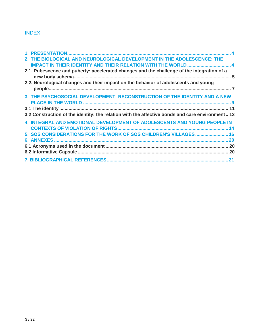# INDEX

| 2. THE BIOLOGICAL AND NEUROLOGICAL DEVELOPMENT IN THE ADOLESCENCE: THE                          |  |
|-------------------------------------------------------------------------------------------------|--|
| <b>IMPACT IN THEIR IDENTITY AND THEIR RELATION WITH THE WORLD  4</b>                            |  |
| 2.1. Pubescence and puberty: accelerated changes and the challenge of the integration of a      |  |
|                                                                                                 |  |
| 2.2. Neurological changes and their impact on the behavior of adolescents and young             |  |
|                                                                                                 |  |
| 3. THE PSYCHOSOCIAL DEVELOPMENT: RECONSTRUCTION OF THE IDENTITY AND A NEW                       |  |
|                                                                                                 |  |
|                                                                                                 |  |
| 3.2 Construction of the identity: the relation with the affective bonds and care environment 13 |  |
| <b>4. INTEGRAL AND EMOTIONAL DEVELOPMENT OF ADOLESCENTS AND YOUNG PEOPLE IN</b>                 |  |
|                                                                                                 |  |
| 5. SOS CONSIDERATIONS FOR THE WORK OF SOS CHILDREN'S VILLAGES 16                                |  |
|                                                                                                 |  |
|                                                                                                 |  |
|                                                                                                 |  |
|                                                                                                 |  |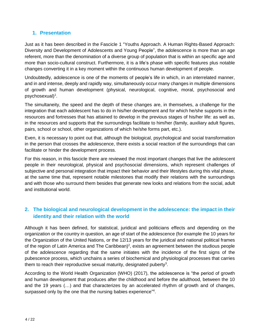# <span id="page-3-0"></span>**1. Presentation**

Just as it has been described in the Fascicle 1 "Youths Approach. A Human Rights-Based Approach: Diversity and Development of Adolescents and Young People", the adolescence is more than an age referent, more than the denomination of a diverse group of population that is within an specific age and more than socio-cultural construct. Furthermore, it is a life's phase with specific features plus notable changes converting it in a key moment within the continuous human development of people.

Undoubtedly, adolescence is one of the moments of people's life in which, in an interrelated manner, and in and intense, deeply and rapidly way, simultaneously occur many changes in multiple dimensions of growth and human development (physical, neurological, cognitive, moral, psychosocial and psychosexual)<sup>1</sup>.

The simultaneity, the speed and the depth of these changes are, in themselves, a challenge for the integration that each adolescent has to do in his/her development and for which he/she supports in the resources and fortresses that has attained to develop in the previous stages of his/her life: as well as, in the resources and supports that the surroundings facilitate to him/her (family, auxiliary adult figures, pairs, school or school, other organizations of which he/she forms part, etc.).

Even, it is necessary to point out that, although the biological, psychological and social transformation in the person that crosses the adolescence, there exists a social reaction of the surroundings that can facilitate or hinder the development process.

For this reason, in this fascicle there are reviewed the most important changes that live the adolescent people in their neurological, physical and psychosocial dimensions, which represent challenges of subjective and personal integration that impact their behavior and their lifestyles during this vital phase, at the same time that, represent notable milestones that modify their relations with the surroundings and with those who surround them besides that generate new looks and relations from the social, adult and institutional world.

# <span id="page-3-1"></span>**2. The biological and neurological development in the adolescence: the impact in their identity and their relation with the world**

Although it has been defined, for statistical, juridical and politicians effects and depending on the organization or the country in question, an age of start of the adolescence (for example the 10 years for the Organization of the United Nations, or the 12/13 years for the juridical and national political frames of the region of Latin America and The Caribbean)<sup>2</sup>, exists an agreement between the studious people of the adolescence regarding that the same initiates with the incidence of the first signs of the pubescence process, which unchains a series of biochemical and physiological processes that carries them to reach their reproductive sexual maturity, designated puberty<sup>3</sup>.

According to the World Health Organization (WHO) (2017), the adolescence is "the period of growth and human development that produces after the childhood and before the adulthood, between the 10 and the 19 years (…) and that characterizes by an accelerated rhythm of growth and of changes, surpassed only by the one that the nursing babies experience"<sup>4</sup>.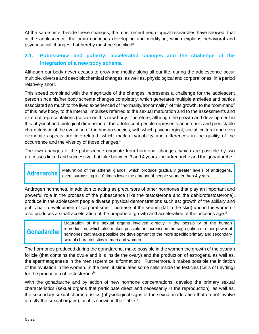At the same time, beside these changes, the most recent neurological researches have showed, that in the adolescence, the brain continues developing and modifying, which explains behavioral and psychosocial changes that hereby must be specified<sup>5</sup>.

# <span id="page-4-0"></span>**2.1. Pubescence and puberty: accelerated changes and the challenge of the integration of a new body schema**

Although our body never ceases to grow and modify along all our life, during the adolescence occur multiple, diverse and deep biochemical changes, as well as, physiological and corporal ones, in a period relatively short.

This speed combined with the magnitude of the changes, represents a challenge for the adolescent person since his/her body schema changes completely, which generates multiple anxieties and panics associated so much to the lived experienced of "normality/abnormality" of this growth, to the "command" of this new body, to the internal impulses referred to the sexual maturation and to the assessments and external representations (social) on this new body. Therefore, although the growth and development in this physical and biological dimension of the adolescent people represents an intrinsic and predictable characteristic of the evolution of the human species, with which psychological, social, cultural and even economic aspects are interrelated, which mark a variability and differences in the quality of the occurrence and the vivency of those changes.<sup>6</sup>

The own changes of the pubescence originate from hormonal changes, which are possible by two processes linked and successive that take between 3 and 4 years: the adrenarche and the gonadarche.<sup>7</sup>

**Adrenarche** Maturation of the adrenal glands, which produce gradually greater levels of androgens, even, surpassing in 10 times lower the amount of people younger than 4 years.

Androgen hormones, in addition to acting as precursors of other hormones that play an important and powerful role in the process of the pubescence (like the testosterone and the dehidrotestosterone), produce in the adolescent people diverse physical demonstrations such as: growth of the axillary and pubic hair, development of corporal smell, increase of the sebum (fat in the skin) and in the women it also produces a small acceleration of the prepuberal growth and acceleration of the osseous age.<sup>8</sup>

#### **Gonadarche** Maturation of the sexual organs involved directly in the possibility of the human reproduction, which also makes possible an increase in the segregation of other powerful hormones that make possible the development of the more specific primary and secondary sexual characteristics in man and women.

The hormones produced during the gonadarche, make possible in the women the growth of the ovarian follicle (that contains the ovule and it is inside the ovary) and the production of estrogens, as well as, the spermatogenesis in the men (sperm cells formation). Furthermore, it makes possible the initiation of the ovulation in the women. In the men, it stimulates some cells inside the testicles (cells of Leyding) for the production of testosterone<sup>9</sup>.

With the gonadarche and by action of new hormone concentrations, develop the primary sexual characteristics (sexual organs that participate direct and necessarily in the reproduction), as well as, the secondary sexual characteristics (physiological signs of the sexual maduration that do not involve directly the sexual organs), as it is shown in the Table 1.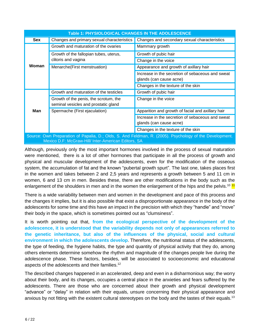| Table 1: PHYSIOLOGICAL CHANGES IN THE ADOLESCENCE                                                                                                              |                                                                               |                                                                             |
|----------------------------------------------------------------------------------------------------------------------------------------------------------------|-------------------------------------------------------------------------------|-----------------------------------------------------------------------------|
| <b>Sex</b>                                                                                                                                                     | Changes and primary sexual characteristics                                    | Changes and secondary sexual characteristics                                |
| Woman                                                                                                                                                          | Growth and maturation of the ovaries                                          | Mammary growth                                                              |
|                                                                                                                                                                | Growth of the fallopian tubes, uterus,                                        | Growth of pubic hair                                                        |
|                                                                                                                                                                | clitoris and vagina                                                           | Change in the voice                                                         |
|                                                                                                                                                                | Menarche(First menstruation)                                                  | Appearance and growth of axillary hair                                      |
|                                                                                                                                                                |                                                                               | Increase in the secretion of sebaceous and sweat<br>glands (can cause acne) |
|                                                                                                                                                                |                                                                               | Changes in the texture of the skin                                          |
| Man                                                                                                                                                            | Growth and maturation of the testicles                                        | Growth of pubic hair                                                        |
|                                                                                                                                                                | Growth of the penis, the scrotum, the<br>seminal vesicles and prostatic gland | Change in the voice                                                         |
|                                                                                                                                                                | Spermache (First ejaculation)                                                 | Apparition and growth of facial and axillary hair                           |
|                                                                                                                                                                |                                                                               | Increase in the secretion of sebaceous and sweat<br>glands (can cause acne) |
|                                                                                                                                                                |                                                                               | Changes in the texture of the skin                                          |
| Source: Own Preparation of Papalia, D.; Olds, S. And Feldman, R. (2005). Psychology of the Development.<br>Mexico D.F: McGraw-Hill/ Inter-American Editors, SA |                                                                               |                                                                             |

Although, previously only the most important hormones involved in the process of sexual maturation were mentioned, there is a lot of other hormones that participate in all the process of growth and physical and muscular development of the adolescents, even for the modification of the osseous system, the accumulation of fat and the known "pubertal growth spurt". The last one, takes places first in the women and takes between 2 and 2,5 years and represents a growth between 5 and 11 cm in women, 6 and 13 cm in men. Besides these, there are other modifications in the body such as the enlargement of the shoulders in men and in the women the enlargement of the hips and the pelvis.<sup>10</sup> <sup>11</sup>

There is a wide variability between men and women in the development and pace of this process and the changes it implies, but it is also possible that exist a disproportionate appearance in the body of the adolescents for some time and this have an impact in the precision with which they "handle" and "move" their body in the space, which is sometimes pointed out as "clumsiness".

It is worth pointing out that, **from the ecological perspective of the development of the adolescence, it is understood that the variability depends not only of appearances referred to the genetic inheritance, but also of the influences of the physical, social and cultural environment in which the adolescents develop**. Therefore, the nutritional status of the adolescents, the type of feeding, the hygiene habits, the type and quantity of physical activity that they do, among others elements determine somehow the rhythm and magnitude of the changes people live during the adolescence phase. These factors, besides, will be associated to socioeconomic and educational aspects of the adolescents and their families.<sup>12</sup>

The described changes happened in an accelerated, deep and even in a disharmonious way; the worry about their body, and its changes, occupies a central place in the anxieties and fears suffered by the adolescents. There are those who are concerned about their growth and physical development "advance" or "delay" in relation with their equals, unsure concerning their physical appearance and anxious by not fitting with the existent cultural stereotypes on the body and the tastes of their equals.<sup>13</sup>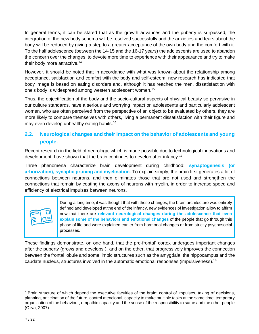In general terms, it can be stated that as the growth advances and the puberty is surpassed, the integration of the new body schema will be resolved successfully and the anxieties and fears about the body will be reduced by giving a step to a greater acceptance of the own body and the comfort with it. To the half adolescence (between the 14-15 and the 16-17 years) the adolescents are used to abandon the concern over the changes, to devote more time to experience with their appearance and try to make their body more attractive.<sup>14</sup>

However, it should be noted that in accordance with what was known about the relationship among acceptance, satisfaction and comfort with the body and self-esteem, new research has indicated that body image is based on eating disorders and, although it has reached the men, dissatisfaction with one's body is widespread among western adolescent women. 15

Thus, the objectification of the body and the socio-cultural aspects of physical beauty so pervasive in our culture standards, have a serious and worrying impact on adolescents and particularly adolescent women, who are often perceived from the perspective of an object to be evaluated by others, they are more likely to compare themselves with others, living a permanent dissatisfaction with their figure and may even develop unhealthy eating habits. 16

# <span id="page-6-0"></span>**2.2. Neurological changes and their impact on the behavior of adolescents and young people.**

Recent research in the field of neurology, which is made possible due to technological innovations and development, have shown that the brain continues to develop after infancy.<sup>17</sup>

Three phenomena characterize brain development during childhood: **synaptogenesis (or arborization), synaptic pruning and myelination**. To explain simply, the brain first generates a lot of connections between neurons, and then eliminates those that are not used and strengthen the connections that remain by coating the axons of neurons with myelin, in order to increase speed and efficiency of electrical impulses between neurons.



During a long time, it was thought that with these changes, the brain architecture was entirely defined and developed at the end of the infancy, new evidences of investigation allow to affirm now that there are **relevant neurological changes during the adolescence that even explain some of the behaviors and emotional changes** of the people that go through this phase of life and were explained earlier from hormonal changes or from strictly psychosocial processes.

These findings demonstrate, on one hand, that the pre-frontal\* cortex undergoes important changes after the puberty (grows and develops ), and on the other, that progressively improves the connection between the frontal lobule and some limbic structures such as the amygdala, the hippocampus and the caudate nucleus, structures involved in the automatic emotional responses (impulsiveness).<sup>18</sup>

Brain structure of which depend the executive faculties of the brain: control of impulses, taking of decisions, planning, anticipation of the future, control atencional, capacity to make multiple tasks at the same time, temporary organisation of the behaviour, empathic capacity and the sense of the responsibility to same and the other people (Oliva, 2007).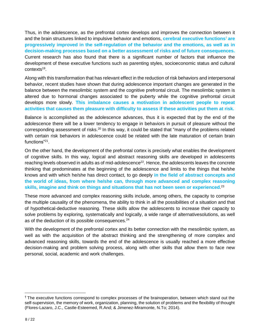Thus, in the adolescence, as the prefrontal cortex develops and improves the connection between it and the brain structures linked to impulsive behavior and emotions, **cerebral executive functions**† **are progressively improved in the self-regulation of the behavior and the emotions, as well as in decision-making processes based on a better assessment of risks and of future consequences.** Current research has also found that there is a significant number of factors that influence the development of these executive functions such as parenting styles, socioeconomic status and cultural contexts<sup>19</sup>.

Along with this transformation that has relevant effect in the reduction of risk behaviors and interpersonal behavior, recent studies have shown that during adolescence important changes are generated in the balance between the mesolimbic system and the cognitive prefrontal circuit. The mesolimbic system is altered due to hormonal changes associated to the puberty while the cognitive prefrontal circuit develops more slowly. **This imbalance causes a motivation in adolescent people to repeat activities that causes them pleasure with difficulty to assess if these activities put them at risk.** 

Balance is accomplished as the adolescence advances, thus it is expected that by the end of the adolescence there will be a lower tendency to engage in behaviors in pursuit of pleasure without the corresponding assessment of risks.<sup>20</sup> In this way, it could be stated that "many of the problems related with certain risk behaviors in adolescence could be related with the late maturation of certain brain functions"<sup>21</sup>.

On the other hand, the development of the prefrontal cortex is precisely what enables the development of cognitive skills. In this way, logical and abstract reasoning skills are developed in adolescents reaching levels observed in adults as of mid-adolescence<sup>22</sup>. Hence, the adolescents leaves the concrete thinking that predominates at the beginning of the adolescence and limits to the things that he/she knows and with which he/she has direct contact, to go deeply **in the field of abstract concepts and the world of ideas, from where he/she can, through more advanced and complex reasoning skills, imagine and think on things and situations that has not been seen or experienced**. 23

These more advanced and complex reasoning skills include, among others, the capacity to comprise the multiple causality of the phenomena, the ability to think in all the possibilities of a situation and that of hypothetical-deductive reasoning. These skills allow the adolescents to increase their capacity to solve problems by exploring, systematically and logically, a wide range of alternativesolutions, as well as of the deduction of its possible consequences.<sup>24</sup>

With the development of the prefrontal cortex and its better connection with the mesolimbic system, as well as with the acquisition of the abstract thinking and the strengthening of more complex and advanced reasoning skills, towards the end of the adolescence is usually reached a more effective decision-making and problem solving process, along with other skills that allow them to face new personal, social, academic and work challenges.

<sup>&</sup>lt;sup>†</sup> The executive functions correspond to complex processes of the brainoperation, between which stand out the self-supervision, the memory of work, organization, planning, the solution of problems and the flexibility of thought (Flores-Lazaro, J.C., Castle-Esteemed, R.And; & Jimenez-Miramonte, N.To; 2014).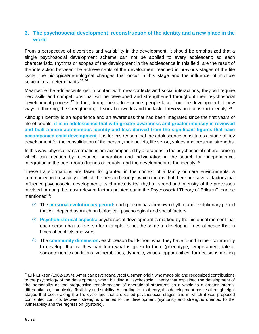# <span id="page-8-0"></span>**3. The psychosocial development: reconstruction of the identity and a new place in the world**

From a perspective of diversities and variability in the development, it should be emphasized that a single psychosocial development scheme can not be applied to every adolescent; so each characteristic, rhythms or scopes of the development in the adolescence in this field, are the result of the interaction between the achievements of the development reached in previous stages of the life cycle, the biological/neurological changes that occur in this stage and the influence of multiple sociocultural determinants.<sup>25</sup><sup>26</sup>

Meanwhile the adolescents get in contact with new contexts and social interactions, they will require new skills and competitions that will be developed and strengthened throughout their psychosocial development process.<sup>27</sup> In fact, during their adolescence, people face, from the development of new ways of thinking, the strengthening of social networks and the task of review and construct identity. <sup>28</sup>

Although identity is an experience and an awareness that has been integrated since the first years of life of people, **it is in adolescence that with greater awareness and greater intensity is reviewed and built a more autonomous identity and less derived from the significant figures that have accompanied child development**. It is for this reason that the adolescence constitutes a stage of key development for the consolidation of the person, their beliefs, life sense, values and personal strengths.

In this way, physical transformations are accompanied by alterations in the psychosocial sphere, among which can mention by relevance: separation and individuation in the search for independence, integration in the peer group (friends or equals) and the development of the identity.<sup>29</sup>

These transformations are taken for granted in the context of a family or care environments, a community and a society to which the person belongs, which means that there are several factors that influence psychosocial development, its characteristics, rhythm, speed and intensity of the processes involved. Among the most relevant factors pointed out in the Psychosocial Theory of Erikson\*\*, can be mentioned<sup>30</sup>:

- The **personal evolutionary period:** each person has their own rhythm and evolutionary period that will depend as much on biological, psychological and social factors.
- **Psychohistorical aspects:** psychosocial development is marked by the historical moment that each person has to live, so for example, is not the same to develop in times of peace that in times of conflicts and wars.
- The **community dimension:** each person builds from what they have found in their community to develop, that is: they part from what is given to them (phenotype, temperament, talent, socioeconomic conditions, vulnerabilities, dynamic, values, opportunities) for decisions-making

Erik Erikson (1902-1994): American psychoanalyst of German origin who made big and recognized contributions to the psychology of the development, when building a Psychosocial Theory that explained the development of the personality as the progressive transformation of operational structures as a whole to a greater internal differentiation, complexity, flexibility and stability. According to his theory, this development passes through eight stages that occur along the life cycle and that are called psychosocial stages and in which it was proposed confronted conflicts between strengths oriented to the development (syntonic) and strengths oriented to the vulnerability and the regression (dystonic).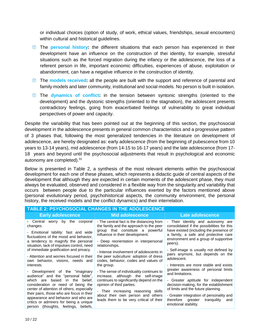or individual choices (option of study, of work, ethical values, friendships, sexual encounters) within cultural and historical guidelines.

- The **personal history:** the different situations that each person has experienced in their development have an influence on the construction of thei identity, for example, stressful situations such as the forced migration during the infancy or the adolescence, the loss of a referent person in life, important economic difficulties, experiences of abuse, exploitation or abandonment, can have a negative influence in the construction of identity.
- The **models received:** all the people are built with the support and reference of parental and family models and later community, institutional and social models. No person is built in isolation.
- The **dynamics of conflict:** in the tension between syntonic strengths (oriented to the development) and the dystonic strengths (oriented to the stagnation), the adolescent presents contradictory feelings, going from exacerbated feelings of vulnerability to great individual perspectives of power and capacity.

Despite the variability that has been pointed out at the beginning of this section, the psychosocial development in the adolescence presents in general common characteristics and a progressive pattern of 3 phases that, following the most generalized tendencies in the literature on development of adolescence, are hereby designated as: early adolescence (from the beginning of pubescence from 10 years to 13-14 years), mid adolescence (from 14-15 to 16-17 years) and the late adolescence (from 17- 18 years and beyond until the psychosocial adjustments that result in psychological and economic autonomy are completed).<sup>31</sup>

Below is presented in Table 2, a synthesis of the most relevant elements within the psychosocial development for each one of these phases, which represents a didactic guide of central aspects of the development that although they are expected in certain moments of the adolescent phase, they must always be evaluated, observed and considered in a flexible way from the singularity and variability that occurs between people due to the particular influences exerted by the factors mentioned above (personal evolutionary period, psychohistorical aspects, the community environment, the personal history, the received models and the conflict dynamics) and their interrelation.

| <b>TABLE 2: PSYCHOSOCIAL CHANGES IN THE ADOLESCENCE</b>                                                                                                               |                                                                                                                           |                                                                                                                    |  |
|-----------------------------------------------------------------------------------------------------------------------------------------------------------------------|---------------------------------------------------------------------------------------------------------------------------|--------------------------------------------------------------------------------------------------------------------|--|
| <b>Early adolescence</b>                                                                                                                                              | Mid adolescence                                                                                                           | Late adolescence                                                                                                   |  |
| - Central worry by the corporal<br>changes.                                                                                                                           | - The central fact is the distancing from<br>the family and the approach to the peer                                      | - Their identity and autonomy are<br>consolidated if the possibilities for this                                    |  |
| - Emotional lability: fast and wide<br>fluctuations of the mood and behavior,                                                                                         | group that constitute a powerful<br>influence in their development.                                                       | have existed (including the presence of<br>a family, a safe and protective care                                    |  |
| a tendency to magnify the personal<br>situation, lack of impulses control, need                                                                                       | - Deep reorientation in interpersonal<br>relationships.                                                                   | environment and a group of supportive<br>peers).                                                                   |  |
| of immediate gratification and privacy.<br>- Attention and worries focused in their                                                                                   | - Intense involvement of adolescents in<br>the peer subculture: adoption of dress<br>codes, behavior, codes and values of | - Self-image is usually not defined by<br>pairs anymore, but depends on the                                        |  |
| own behavior, visions, needs and<br>interests.                                                                                                                        |                                                                                                                           | adolescent.<br>- Interests are more stable and exists                                                              |  |
| - Development of the "imaginary"<br>audience" and the "personal fable",                                                                                               | the group.<br>- The sense of individuality continues to<br>increase, although the self-image                              | greater awareness of personal limits<br>and limitations.                                                           |  |
| which are based<br>in the<br>belief,<br>consideration or need of being the<br>center of attention of others, especially                                               | continues to significantly depend on the<br>opinion of third parties.                                                     | - Greater aptitude for independent<br>decision-making, for the establishment<br>of limits and the future planning. |  |
| their pairs, those who are focus in their<br>appearance and behavior and who are<br>critics or admirers for being a unique<br>person (thoughts, feelings,<br>beliefs. | - Their increasing reasoning skills<br>about their own person and others<br>leads them to be very critical of their       | - Greater integration of personality and<br>greater<br>tranquility<br>therefore<br>and<br>emotional stability.     |  |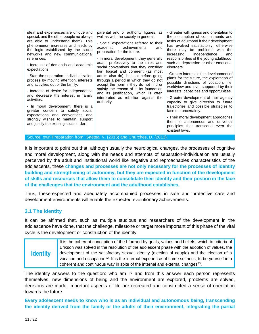ideal and experiences are unique and special, and the other people no always are able to understand them). This phenomenon increases and feeds by the logic established by the social networks and new communicational references.

- Increase of demands and academic expectations.

- Start the separation- individualization process by moving attention, interests and activities out of the family.

- Increase of desire for independence and decrease the interest in family activities.

- In moral development, there is a greater concern to satisfy social expectations and conventions and strongly wishes to mantain, support and justify the existing social order.

parental and of authority figures, as well as with the society in general.

- Social expectations referred to their academic achievements and preparation for the future.

- In moral development, they generally adapt professively to the rules and social conventions that they consider fair, logical and coherent (as most adults also do), but not before going through a period in which they do not accept the norm if they do not find or satisfy the reason of it, its foundation and its justification, which is often interpreted as rebellion against the authority.

- Greater willingness and orientation to the assumption of commitments and tasks of adulthood if their development has evolved satisfactorily, otherwise there may be problems with the increasing independence and responsibilities of the young adulthood, such as depression or other emotional disorders.

- Greater interest in the development of plans for the future, the exploration of possible directions of vocation, life, worldview and love, supported by their interests, capacities and opportunities.

- Greater development of their agency capacity to give direction to future trajectories and possible strategies to face the uncertainty.

- Their moral development approaches them to autonomous and universal principles that transcend even the existent laws.

Source: own Preparation from: Gaetea, V. (2015) and Churches, D. (2013).

It is important to point out that, although usually the neurological changes, the processes of cognitive and moral development, along with the needs and attempts of separation-individuation are usually perceived by the adult and institutional world like negative and reproachables characteristics of the adolescents, these **changes and processes are not only necessary for the processes of identity building and strengthening of autonomy, but they are expected in function of the development of skills and resources that allow them to consolidate their identity and their postion in the face of the challenges that the environment and the adulthood establishes.**

Thus, theserespected and adequately accompanied processes in safe and protective care and development environments will enable the expected evolutionary achievements.

# <span id="page-10-0"></span>**3.1 The identity**

It can be affirmed that, such as multiple studious and researchers of the development in the adolescence have done, that the challenge, milestone or target more important of this phase of the vital cycle is the development or construction of the identity.

| <b>Identity</b> | It is the coherent conception of the I formed by goals, values and beliefs, which to criteria of            |
|-----------------|-------------------------------------------------------------------------------------------------------------|
|                 | Erikson was solved in the resolution of the adolescent phase with the adoption of values, the               |
|                 | development of the satisfactory sexual identity (election of couple) and the election of a                  |
|                 | vocation and occupation <sup>32</sup> . It is the internal experience of same selfness, to be yourself in a |
|                 | coherent and continuous way in spite of the internal and external changes <sup>33</sup> .                   |

The identity answers to the question: who am I? and from this answer each person represents themselves, new dimensions of being and the environment are explored, problems are solved, decisions are made, important aspects of life are recreated and constructed a sense of orientation towards the future.

**Every adolescent needs to know who is as an individual and autonomous being, transcending the identity derived from the family or the adults of their environment, integrating the partial**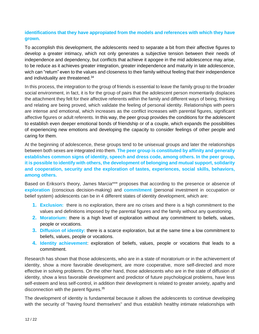# **identifications that they have appropiated from the models and references with which they have grown.**

To accomplish this development, the adolescents need to separate a bit from their affective figures to develop a greater intimacy, which not only generates a subjective tension between their needs of independence and dependency, but conflicts that achieve it apogee in the mid adolescence may arise, to be reduce as it achieves greater integration, greater independence and maturity in late adolescence, wich can "return" even to the values and closeness to their family without feeling that their independence and individuality are threatened.<sup>34</sup>

In this process, the integration to the group of friends is essential to leave the family group to the broader social environment, in fact, it is for the group of pairs that the adolescent person momentarily displaces the attachment they felt for their affective referents within the family and different ways of being, thinking and relating are being proved, which validate the feeling of personal identity. Relationships with peers are intense and emotional, which increases as the conflict increases with parental figures, significant affective figures or adult referents. In this way, the peer group provides the conditions for the adolescent to establish even deeper emotional bonds of friendship or of a couple, which expands the possibilities of experiencing new emotions and developing the capacity to consider feelings of other people and caring for them.

At the beginning of adolescence, these groups tend to be unisexual groups and later the relationships between both sexes are integrated into them. **The peer group is constituted by affinity and generally establishes common signs of identity, speech and dress code, among others. In the peer group, it is possible to identify with others, the development of belonging and mutual support, solidarity and cooperation, security and the exploration of tastes, experiences, social skills, behaviors, among others.**

Based on Erikson's theory, James Marcia\*\*\* proposes that according to the presence or absence of **exploration** (conscious decision-making) and **commitment** (personal investment in occupation or belief system) adolescents can be in 4 different states of identity development, which are:

- **1. Exclusion:** there is no exploration, there are no crises and there is a high commitment to the values and definitions imposed by the parental figures and the family without any questioning.
- **2. Moratorium:** there is a high level of exploration without any commitment to beliefs, values, people or vocations.
- **3. Diffusion of identity:** there is a scarce exploration, but at the same time a low commitment to beliefs, values, people or vocations.
- **4. Identity achievement**: exploration of beliefs, values, people or vocations that leads to a commitment.

Research has shown that those adolescents, who are in a state of moratorium or in the achievement of identity, show a more favorable development, are more cooperative, more self-directed and more effective in solving problems. On the other hand, those adolescents who are in the state of diffusion of identity, show a less favorable development and predictor of future psychological problems, have less self-esteem and less self-control, in addition their development is related to greater anxiety, apathy and disconnection with the parent figures.<sup>35</sup>

The development of identity is fundamental because it allows the adolescents to continue developing with the security of "having found themselves" and thus establish healthy intimate relationships with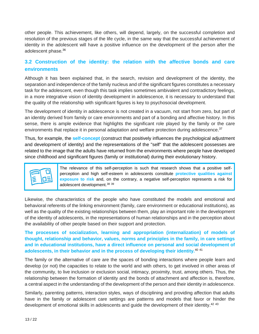other people. This achievement, like others, will depend, largely, on the successful completion and resolution of the previous stages of the life cycle, in the same way that the successful achievement of identity in the adolescent will have a positive influence on the development of the person after the adolescent phase. 36

# <span id="page-12-0"></span>**3.2 Construction of the identity: the relation with the affective bonds and care environments**

Although it has been explained that, in the search, revision and development of the identity, the separation and independence of the family nucleus and of the significant figures constitutes a necessary task for the adolescent, even though this task implies sometimes ambivalent and contradictory feelings, in a more integrative vision of identity development in adolescence, it is necessary to understand that the quality of the relationship with significant figures is key to psychosocial development.

The development of identity in adolescence is not created in a vacuum, not start from zero, but part of an identity derived from family or care environments and part of a bonding and affective history. In this sense, there is ample evidence that highlights the significant role played by the family or the care environments that replace it in personal adaptation and welfare protection during adolescence.<sup>37</sup>

Thus, for example, the **self-concept** (construct that positively influences the psychological adjustment and development of identity) and the representations of the "self" that the adolescent possesses are related to the image that the adults have returned from the environments where people have developed since childhood and significant figures (family or institutional) during their evolutionary history.

The relevance of this self-perception is such that research shows that a positive selfperception and high self-esteem in adolescents constitute **protective qualities against exposure to risk** and, on the contrary, a negative self-perception represents a risk for adolescent development.<sup>38</sup> <sup>39</sup>

Likewise, the characteristics of the people who have constituted the models and emotional and behavioral referents of the linking environment (family, care environment or educational institutions), as well as the quality of the existing relationships between them, play an important role in the development of the identity of adolescents, in the representations of human relationships and in the perception about the availability of other people based on their support and protection.

**The processes of socialization, learning and appropriation (internalization) of models of thought, relationship and behavior, values, norms and principles in the family, in care settings and in educational institutions, have a direct influence on personal and social development of adolescents, in their behavior and in the process of developing their identity.**<sup>40</sup> <sup>41</sup>

The family or the alternative of care are the spaces of bonding interactions where people learn and develop (or not) the capacities to relate to the world and with others, to get involved in other areas of the community, to live inclusion or exclusion social, intimacy, proximity, trust, among others. Thus, the relationship between the formation of identity and the bonds of attachment and affection is, therefore, a central aspect in the understanding of the development of the person and their identity in adolescence.

Similarly, parenting patterns, interaction styles, ways of disciplining and providing affection that adults have in the family or adolescent care settings are patterns and models that favor or hinder the development of emotional skills in adolescents and guide the development of their identity.<sup>42 43</sup>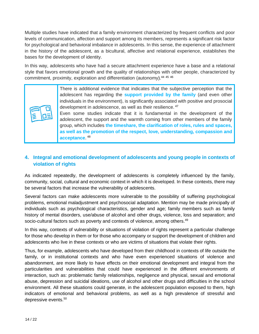Multiple studies have indicated that a family environment characterized by frequent conflicts and poor levels of communication, affection and support among its members, represents a significant risk factor for psychological and behavioral imbalance in adolescents. In this sense, the experience of attachment in the history of the adolescent, as a bicultural, affective and relational experience, establishes the bases for the development of identity.

In this way, adolescents who have had a secure attachment experience have a base and a relational style that favors emotional growth and the quality of relationships with other people, characterized by commitment, proximity, exploration and differentiation (autonomy).<sup>44 45 46</sup>

> There is additional evidence that indicates that the subjective perception that the adolescent has regarding the **support provided by the family** (and even other individuals in the environment), is significantly associated with positive and prosocial development in adolescence, as well as their resilience. <sup>47</sup>

> Even some studies indicate that it is fundamental in the development of the adolescent, the support and the warmth coming from other members of the family group, which includes **the timeshare, the clarification of roles, rules and spaces, as well as the promotion of the respect, love, understanding, compassion and acceptance**. 48

# <span id="page-13-0"></span>**4. Integral and emotional development of adolescents and young people in contexts of violation of rights**

As indicated repeatedly, the development of adolescents is completely influenced by the family, community, social, cultural and economic context in which it is developed. In these contexts, there may be several factors that increase the vulnerability of adolescents.

Several factors can make adolescents more vulnerable to the possibility of suffering psychological problems, emotional maladjustment and psychosocial adaptation. Mention may be made principally of individuals such as psychological characteristics, gender and age; family members such as family history of mental disorders, use/abuse of alcohol and other drugs, violence, loss and separation; and socio-cultural factors such as poverty and contexts of violence, among others.<sup>49</sup>

In this way, contexts of vulnerability or situations of violation of rights represent a particular challenge for those who develop in them or for those who accompany or support the development of children and adolescents who live in these contexts or who are victims of situations that violate their rights.

Thus, for example, adolescents who have developed from their childhood in contexts of life outside the family, or in institutional contexts and who have even experienced situations of violence and abandonment, are more likely to have effects on their emotional development and integral from the particularities and vulnerabilities that could have experienced in the different environments of interaction, such as: problematic family relationships, negligence and physical, sexual and emotional abuse, depression and suicidal ideations, use of alcohol and other drugs and difficulties in the school environment. All these situations could generate, in the adolescent population exposed to them, high indicators of emotional and behavioral problems, as well as a high prevalence of stressful and depressive events. 50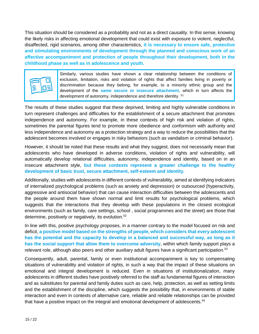This situation should be considered as a probability and not as a direct causality. In this sense, knowing the likely risks in affecting emotional development that could exist with exposure to violent, neglectful, disaffected, rigid scenarios, among other characteristics, **it is necessary to ensure safe, protective and stimulating environments of development through the planned and conscious work of an affective accompaniment and protection of people throughout their development, both in the childhood phase as well as in adolescence and youth.**



Similarly, various studies have shown a clear relationship between the conditions of exclusion, limitation, risks and violation of rights that affect families living in poverty or discrimination because they belong, for example, to a minority ethnic group and the development of the **same secure or insecure attachment**, which in turn affects the development of autonomy, independence and therefore identity. <sup>51</sup>

The results of these studies suggest that these deprived, limiting and highly vulnerable conditions in turn represent challenges and difficulties for the establishment of a secure attachment that promotes independence and autonomy. For example, in these contexts of high risk and violation of rights, sometimes the parental figures tend to promote more obedience and conformism with authority and less independence and autonomy as a protection strategy and a way to reduce the possibilities that the adolescent becomes involved or engages in risky behaviors (such as vandalism or criminal behavior).

However, it should be noted that these results and what they suggest, does not necessarily mean that adolescents who have developed in adverse conditions, violation of rights and vulnerability, will automatically develop relational difficulties, autonomy, independence and identity, based on in an insecure attachment style, **but these contexts represent a greater challenge to the healthy development of basic trust, secure attachment, self-esteem and identity.**

Additionally, studies with adolescents in different contexts of vulnerability, aimed at identifying indicators of internalized psychological problems (such as anxiety and depression) or outsourced (hyperactivity, aggressive and antisocial behavior) that can cause interaction difficulties between the adolescents and the people around them have shown normal and limit results for psychological problems, which suggests that the interactions that they develop with these populations in the closest ecological environments (such as family, care settings, school , social programmes and the street) are those that determine, positively or negatively, its evolution.<sup>52</sup>

In line with this, positive psychology proposes, in a manner contrary to the model focused on risk and deficit, **a positive model based on the strengths of people, which considers that every adolescent has the potential and the capacity to develop in a balanced and successful way, as long as it has the social support that allow them to overcome adversity**, within which family support plays a relevant role, although also peers and other auxiliary adult figures have a significant participation.<sup>53</sup>

Consequently, adult, parental, family or even institutional accompaniment is key to compensating situations of vulnerability and violation of rights, in such a way that the impact of these situations on emotional and integral development is reduced. Even in situations of institutionalization, many adolescents in different studies have positively referred to the staff as fundamental figures of interaction and as substitutes for parental and family duties such as care, help, protection, as well as setting limits and the establishment of the discipline, which suggests the possibility that, in environments of stable interaction and even in contexts of alternative care, reliable and reliable relationships can be provided that have a positive impact on the integral and emotional development of adolescents.<sup>54</sup>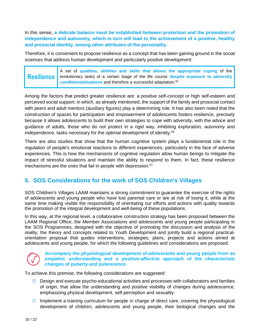In this sense, **a delicate balance must be established between protection and the promotion of independence and autonomy, which in turn will lead to the achievement of a positive, healthy and prosocial identity, among other attributes of the personality**.

Therefore, it is convenient to propose resilience as a concept that has been gaining ground in the social sciences that address human development and particularly positive development:

**Resilience** A set of **qualities, abilities and skills that allows the appropriate coping** of the evolutionary tasks of a certain stage of the life course **despite exposure to adversity conditions/situations** and therefore a successful adaptation. 55

Among the factors that predict greater resilience are: a positive self-concept or high self-esteem and perceived social support, in which, as already mentioned, the support of the family and prosocial contact with peers and adult mentors (auxiliary figures) play a determining role. It has also been noted that the construction of spaces for participation and empowerment of adolescents fosters resilience, precisely because it allows adolescents to build their own strategies to cope with adversity, with the advice and guidance of adults, those who do not protect in a rigid way, inhibiting exploration, autonomy and independence, tasks necessary for the optimal development of identity. 56

There are also studies that show that the human cognitive system plays a fundamental role in the regulation of people's emotional reactions to different experiences, particularly in the face of adverse experiences. This is how the mechanisms of cognitive regulation allow human beings to mitigate the impact of stressful situations and maintain the ability to respond to them. In fact, these resilience mechanisms are the ones that fail in people with depression.<sup>57</sup>

# <span id="page-15-0"></span>**5. SOS Considerations for the work of SOS Children's Villages**

SOS Children's Villages LAAM maintains a strong commitment to guarantee the exercise of the rights of adolescents and young people who have lost parental care or are at risk of losing it, while at the same time making visible the responsibility of orientating our efforts and actions with quality towards the promotion of the integral development and well-being of these populations.

In this way, at the regional level, a collaborative construction strategy has been proposed between the LAAM Regional Office, the Member Associations and adolescents and young people participating in the SOS Programmes, designed with the objective of promoting the discussion and analysis of the reality, the theory and concepts related to Youth Development and jointly build a regional practicalorientation proposal that guides interventions, strategies, plans, projects and actions aimed at adolescents and young people, for which the following guidelines and considerations are proposed:

#### **Accompany the physiological development of adolescents and young people from an empathic understanding and a positive-affective approach of the characteristic changes of puberty and pubescence.**

To achieve this premise, the following considerations are suggested:

- $\oslash$  Design and execute psycho-educational activities and processes with collaborators and families of origin, that allow the understanding and positive visibility of changes during adolescence, emphasizing physical development, self-perception and sexuality.
- $\oslash$  Implement a training curriculum for people in charge of direct care, covering the physiological development of children, adolescents and young people, their biological changes and the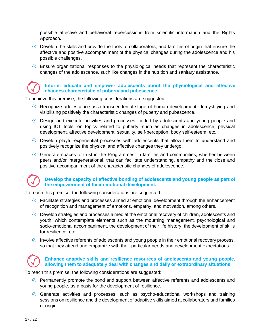possible affective and behavioral repercussions from scientific information and the Rights Approach.

- $\oslash$  Develop the skills and provide the tools to collaborators, and families of origin that ensure the affective and positive accompaniment of the physical changes during the adolescence and his possible challenges.
- $\oslash$  Ensure organizational responses to the physiological needs that represent the characteristic changes of the adolescence, such like changes in the nutrition and sanitary assistance.

### **Inform, educate and empower adolescents about the physiological and affective changes characteristic of puberty and pubescence**

To achieve this premise, the following considerations are suggested:

- $\oslash$  Recognize adolescence as a transcendental stage of human development, demystifying and visibilising positively the characteristic changes of puberty and pubescence.
- Design and execute activities and processes, co-led by adolescents and young people and using ICT tools, on topics related to puberty, such as changes in adolescence, physical development, affective development, sexuality, self-perception, body self-esteem, etc.
- $\oslash$  Develop playful-experiential processes with adolescents that allow them to understand and positively recognize the physical and affective changes they undergo.
- Generate spaces of trust in the Programmes, in families and communities, whether between peers and/or intergenerational, that can facilitate understanding, empathy and the close and positive accompaniment of the characteristic changes of adolescence.

### **Develop the capacity of affective bonding of adolescents and young people as part of the empowerment of their emotional development.**

To reach this premise, the following considerations are suggested:

- $\oslash$  Facilitate strategies and processes aimed at emotional development through the enhancement of recognition and management of emotions, empathy, and motivation, among others.
- $\oslash$  Develop strategies and processes aimed at the emotional recovery of children, adolescents and youth, which contemplate elements such as the mourning management, psychological and socio-emotional accompaniment, the development of their life history, the development of skills for resilience, etc.
- $\oslash$  Involve affective referents of adolescents and young people in their emotional recovery process, so that they attend and empathize with their particular needs and development expectations.



#### **Enhance adaptive skills and resilience resources of adolescents and young people, allowing them to adequately deal with changes and daily or extraordinary situations.**

To reach this premise, the following considerations are suggested:

- Permanently promote the bond and support between affective referents and adolescents and young people, as a basis for the development of resilience.
- $\oslash$  Generate activities and processes, such as psycho-educational workshops and training sessions on resilience and the development of adaptive skills aimed at collaborators and families of origin.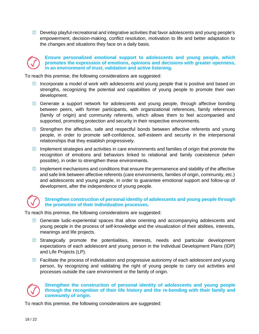Develop playful-recreational and integrative activities that favor adolescents and young people's empowerment, decision-making, conflict resolution, motivation to life and better adaptation to the changes and situations they face on a daily basis.



#### **Ensure personalized emotional support to adolescents and young people, which promotes the expression of emotions, opinions and decisions with greater openness, in an environment of trust, validation and active listening.**

To reach this premise, the following considerations are suggested:

- $\oslash$  Incorporate a model of work with adolescents and young people that is positive and based on strengths, recognizing the potential and capabilities of young people to promote their own development.
- Generate a support network for adolescents and young people, through affective bonding between peers, with former participants, with organizational references, family references (family of origin) and community referents, which allows them to feel accompanied and supported, promoting protection and security in their respective environments.
- Strengthen the affective, safe and respectful bonds between affective referents and young people, in order to promote self-confidence, self-esteem and security in the interpersonal relationships that they establish progressively.
- $\oslash$  Implement strategies and activities in care environments and families of origin that promote the recognition of emotions and behaviors linked to relational and family coexistence (when possible), in order to strengthen these environments.
- $\oslash$  Implement mechanisms and conditions that ensure the permanence and stability of the affective and safe link between affective referents (care environments, families of origin, community, etc.) and adolescents and young people, in order to guarantee emotional support and follow-up of development, after the independence of young people.

## **Strengthen construction of personal identity of adolescents and young people through the promotion of their individuation processes.**

To reach this premise, the following considerations are suggested:

- Generate ludic-experiential spaces that allow orienting and accompanying adolescents and young people in the process of self-knowledge and the visualization of their abilities, interests, meanings and life projects.
- Strategically promote the potentialities, interests, needs and particular development expectations of each adolescent and young person in the Individual Development Plans (IDP) and Life Projects (LP).
- $\heartsuit$  Facilitate the process of individuation and progressive autonomy of each adolescent and young person, by recognizing and validating the right of young people to carry out activities and processes outside the care environment or the family of origin.



#### **Strengthen the construction of personal identity of adolescents and young people through the recognition of their life history and the re-bonding with their family and community of origin.**

To reach this premise, the following considerations are suggested: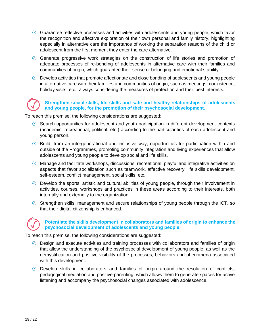- Guarantee reflective processes and activities with adolescents and young people, which favor the recognition and affective exploration of their own personal and family history, highlighting especially in alternative care the importance of working the separation reasons of the child or adolescent from the first moment they enter the care alternative.
- Generate progressive work strategies on the construction of life stories and promotion of adequate processes of re-bonding of adolescents in alternative care with their families and communities of origin, which guarantee their sense of belonging and emotional stability.
- $\oslash$  Develop activities that promote affectionate and close bonding of adolescents and young people in alternative care with their families and communities of origin, such as meetings, coexistence, holiday visits, etc., always considering the measures of protection and their best interests.

#### **Strengthen social skills, life skills and safe and healthy relationships of adolescents and young people, for the promotion of their psychosocial development.**

To reach this premise, the following considerations are suggested:

- $\oslash$  Search opportunities for adolescent and youth participation in different development contexts (academic, recreational, political, etc.) according to the particularities of each adolescent and young person.
- $\oslash$  Build, from an intergenerational and inclusive way, opportunities for participation within and outside of the Programmes, promoting community integration and living experiences that allow adolescents and young people to develop social and life skills.
- $\oslash$  Manage and facilitate workshops, discussions, recreational, playful and integrative activities on aspects that favor socialization such as teamwork, affective recovery, life skills development, self-esteem, conflict management, social skills, etc.
- $\oslash$  Develop the sports, artistic and cultural abilities of young people, through their involvement in activities, courses, workshops and practices in these areas according to their interests, both internally and externally to the organization.
- $\oslash$  Strengthen skills, management and secure relationships of young people through the ICT, so that their digital citizenship is enhanced.

### **Potentiate the skills development in collaborators and families of origin to enhance the psychosocial development of adolescents and young people.**

To reach this premise, the following considerations are suggested:

- Design and execute activities and training processes with collaborators and families of origin that allow the understanding of the psychosocial development of young people, as well as the demystification and positive visibility of the processes, behaviors and phenomena associated with this development.
- Develop skills in collaborators and families of origin around the resolution of conflicts, pedagogical mediation and positive parenting, which allows them to generate spaces for active listening and accompany the psychosocial changes associated with adolescence.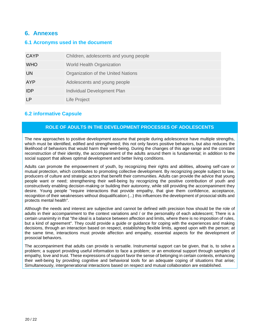# <span id="page-19-0"></span>**6. Annexes**

# <span id="page-19-1"></span>**6.1 Acronyms used in the document**

| <b>CAYP</b> | Children, adolescents and young people |
|-------------|----------------------------------------|
| <b>WHO</b>  | <b>World Health Organization</b>       |
| UN          | Organization of the United Nations     |
| <b>AYP</b>  | Adolescents and young people           |
| IDP         | Individual Development Plan            |
| ΙP          | Life Project                           |

# <span id="page-19-2"></span>**6.2 informative Capsule**

## **ROLE OF ADULTS IN THE DEVELOPMENT PROCESSES OF ADOLESCENTS**

The new approaches to positive development assume that people during adolescence have multiple strengths, which must be identified, edified and strengthened; this not only favors positive behaviors, but also reduces the likelihood of behaviors that would harm their well-being. During the changes of this age range and the constant reconstruction of their identity, the accompaniment of the adults around them is fundamental; in addition to the social support that allows optimal development and better living conditions.

Adults can promote the empowerment of youth, by recognizing their rights and abilities, allowing self-care or mutual protection, which contributes to promoting collective development. By recognizing people subject to law, producers of culture and strategic actors that benefit their communities. Adults can provide the advice that young people want or need; strengthening their well-being by recognizing the positive contribution of youth and constructively enabling decision-making or building their autonomy, while still providing the accompaniment they desire. Young people "require interactions that provide empathy, that give them confidence, acceptance, recognition of their weaknesses without disqualification (...) this influences the development of prosocial skills and protects mental health".

Although the needs and interest are subjective and cannot be defined with precision how should be the role of adults in their accompaniment to the context variations and / or the personality of each adolescent; There is a certain unanimity in that "the ideal is a balance between affection and limits, where there is no imposition of rules, but a kind of agreement". They could provide a guide or guidance for coping with the experiences and making decisions, through an interaction based on respect, establishing flexible limits, agreed upon with the person; at the same time, interactions must provide affection and empathy, essential aspects for the development of prosocial behaviors.

The accompaniment that adults can provide is versatile. Instrumental support can be given, that is, to solve a problem; a support providing useful information to face a problem; or an emotional support through samples of empathy, love and trust. These expressions of support favor the sense of belonging in certain contexts, enhancing their well-being by providing cognitive and behavioral tools for an adequate coping of situations that arise; Simultaneously, intergenerational interactions based on respect and mutual collaboration are established.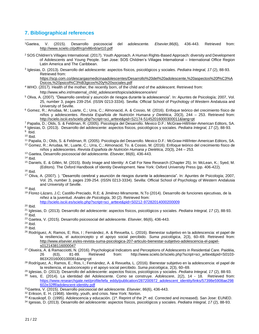# <span id="page-20-0"></span>**7. Bibliographical references**

- <sup>1</sup>Gaetea, V. (2015). Desarrollo psicosocial del adolescente*. Elsevier*,86(6), 436-443. Retrieved from: <http://www.scielo.cl/pdf/rcp/v86n6/art10.pdf>
- <sup>2</sup> SOS Children's Villages International. (2017). Youth Approach. A Human Rights-Based Approach: diversity and Development of Adolescents and Young People. San Jose: SOS Children's Villages International – International Office Region Latin America and The Caribbean.
- 3 Iglesias, D. (2013). Desarrollo del adolescente: aspectos físicos, psicológicos y sociales. *Pediatra Integral, 17* (2), 88-93. Retrieved from:

[https://scp.com.co/descargasmedicinaadolescentes/Desarrollo%20del%20adolescente,%20aspectos%20f%C3%A](https://scp.com.co/descargasmedicinaadolescentes/Desarrollo%20del%20adolescente,%20aspectos%20f%C3%ADsicos,%20psicol%C3%B3gicos%20y%20sociales.pdf) [Dsicos,%20psicol%C3%B3gicos%20y%20sociales.pdf](https://scp.com.co/descargasmedicinaadolescentes/Desarrollo%20del%20adolescente,%20aspectos%20f%C3%ADsicos,%20psicol%C3%B3gicos%20y%20sociales.pdf)

- <sup>4</sup> WHO. (2017). Health of the mother, the recently born, of the child and of the adolescent. Retrieved from:
	- [http://www.who.int/maternal\\_child\\_adolescent/topics/adolescence/en/](http://www.who.int/maternal_child_adolescent/topics/adolescence/dev/es/)
- <sup>5</sup> Oliva, A. (2007). "Desarrollo cerebral y asunción de riesgos durante la adolescencia". In: Apuntes de Psicología; 2007, Vol. 25, number 3, pages 239-254. (ISSN 0213-3334). Sevilla: Official School of Psychology of Western Andalusia and University of Seville.
- <sup>6</sup> Gomez, R.; Arrudaa, M.; Luarte, C.; Urra, C.; Almonacid, A. & Cossio, M. (2016). Enfoque teórico del crecimiento físico de niños y adolescentes. *Revista Española de Nutrición Humana y Dietética,* 20(3), 244 – 253. Retrieved from: [http://scielo.isciii.es/scielo.php?script=sci\\_arttext&pid=S2174-51452016000300011&lang=pt](http://scielo.isciii.es/scielo.php?script=sci_arttext&pid=S2174-51452016000300011&lang=pt)
- <sup>7</sup> Papalia, D.; Olds, S. & Feldman, R. (2005). Psicología del Desarrollo. Mexico D.F.: McGraw-Hill/Inter-American Editors, SA.
- 8 Iglesias, D. (2013). Desarrollo del adolescente: aspectos físicos, psicológicos y sociales. *Pediatra Integral, 17* (2), 88-93.

<sup>9</sup> Ibid.

- $10$  Ibid.
- <sup>11</sup> Papalia, D.; Olds, S. & Feldman, R. (2005). Psicología del Desarrollo. Mexico D.F.: McGraw-Hill/Inter-American Editors, SA. <sup>12</sup> Gomez, R.; Arrudaa, M.; Luarte, C.; Urra, C.; Almonacid, To. & Cossio, M. (2016). Enfoque teórico del crecimiento físico de niños y adolescentes. *Revista Española de Nutrición Humana y Dietética,* 20(3), 244 – 253.
- <sup>13</sup> Gaetea, Desarrollo psicosocial del adolescente*. Elsevier*, 86(6), 436-443.
- $14$  Ibid.
- <sup>15</sup> Daniels, E. & Gillén, M. (2015). Body Image and Identity: A Call For New Research (Chapter 25). In: McLean, K.; Syed, M. (Editors). The Oxford Handbook of Identity Development. New York: Oxford University Press (pp. 406-422).
- $16$  Ibid.
- <sup>17</sup> Oliva, A. (2007). ). "Desarrollo cerebral y asunción de riesgos durante la adolescencia". In: Apuntes de Psicología; 2007, Vol. 25, number 3, pages 239-254. (ISSN 0213-3334). Sevilla: Official School of Psychology of Western Andalusia and University of Seville.
- <sup>18</sup> Ibid.
- <sup>19</sup> Florez-Lázaro, J.C; Castillo-Preciado, R.E; & Jiménez-Miramonte, N.To (2014). Desarrollo de funciones ejecutivas, de la niñez a la juventud. *Anales de Psicología*, 30 (2). Retrieved from:
	- [http://scielo.isciii.es/scielo.php?script=sci\\_arttext&pid=S0212-97282014000200009](http://scielo.isciii.es/scielo.php?script=sci_arttext&pid=S0212-97282014000200009)
- <sup>20</sup> Ibid.
- <sup>21</sup> Iglesias, D. (2013). Desarrollo del adolescente: aspectos físicos, psicológicos y sociales. *Pediatra Integral, 17* (2), 88-93.  $22$  Ibid.
- <sup>23</sup> Gaetea, V. (2015). Desarrollo psicosocial del adolescente*. Elsevier*, 86(6), 436-443.
- <sup>24</sup> Ibid.
- $25$  Ibid.
- <sup>26</sup> Rodríguez, A; Ramos, E; Ros, I ; Fernández, A. & Revuelta, L. (2016). Bienestar subjetivo en la adolescencia: el papel de la resiliencia, el autoconcepto y el apoyo social percibido. *Suma psicológica*, 2(3), 60–69. Retrieved from: [http://www.elsevier.es/es-revista-suma-psicologica-207-articulo-bienestar-subjetivo-adolescencia-el-papel](http://www.elsevier.es/es-revista-suma-psicologica-207-articulo-bienestar-subjetivo-adolescencia-el-papel-S0121438116000047)[s0121438116000047](http://www.elsevier.es/es-revista-suma-psicologica-207-articulo-bienestar-subjetivo-adolescencia-el-papel-S0121438116000047)
- <sup>27</sup> Oliveira, A. & Ramacciotti, N. (2016). Psychological Indicators and Perceptions of Adolescents in Residential Care. Paidéia, 26 (63), 81-89. Retrieved from: [http://www.scielo.br/scielo.php?script=sci\\_arttext&pid=S0103-](http://www.scielo.br/scielo.php?script=sci_arttext&pid=S0103-863X2016000100081&lang=pt) [863X2016000100081&lang=pt](http://www.scielo.br/scielo.php?script=sci_arttext&pid=S0103-863X2016000100081&lang=pt)
- <sup>28</sup> Rodríguez, A.; Ramos, E.; Ros, I.; Fernández, A. & Revuelta, L. (2016). Bienestar subjetivo en la adolescencia: el papel de la resiliencia, el autoconcepto y el apoyo social percibido. *Suma psicológica*, 2(3), 60–69.
- <sup>29</sup> Iglesias, D. (2013). Desarrollo del adolescente: aspectos físicos, psicológicos y sociales. *Pediatra Integral, 17* (2), 88-93.
- <sup>30</sup> Ives, E. (2014). La identidad del Adolescente. Como se construye. *Adolescere*, 2(2), 14 18. Retrieved from: [https://www.researchgate.net/profile/lefa\\_eddy/publication/287200972\\_adolescent\\_identity/links/57398e5908ae298](https://www.researchgate.net/profile/Lefa_Eddy/publication/287200972_Adolescent_identity/links/57398e5908ae298602e32fff/Adolescent-identity.pdf) [602e32fff/adolescent-identity.pdf](https://www.researchgate.net/profile/Lefa_Eddy/publication/287200972_Adolescent_identity/links/57398e5908ae298602e32fff/Adolescent-identity.pdf)
- <sup>31</sup>Gaetea, V. (2015). Desarrollo psicosocial del adolescente*. Elsevier*, 86(6), 436-443.
- <sup>32</sup> Erikson, E. H. (1968). Identity, youth, and crisis. New York: Norton.
- 33 Krauskopf, D. (1995). Adolescencia y educación. (1<sup>a</sup>. Reprint of the 2<sup>a</sup>. ed. Corrected and increased). San Jose: EUNED.
- <sup>34</sup> Igesias, D. (2013). Desarrollo del adolescente: aspectos físicos, psicológicos y sociales. *Pediatra Integral, 17* (2), 88-93.